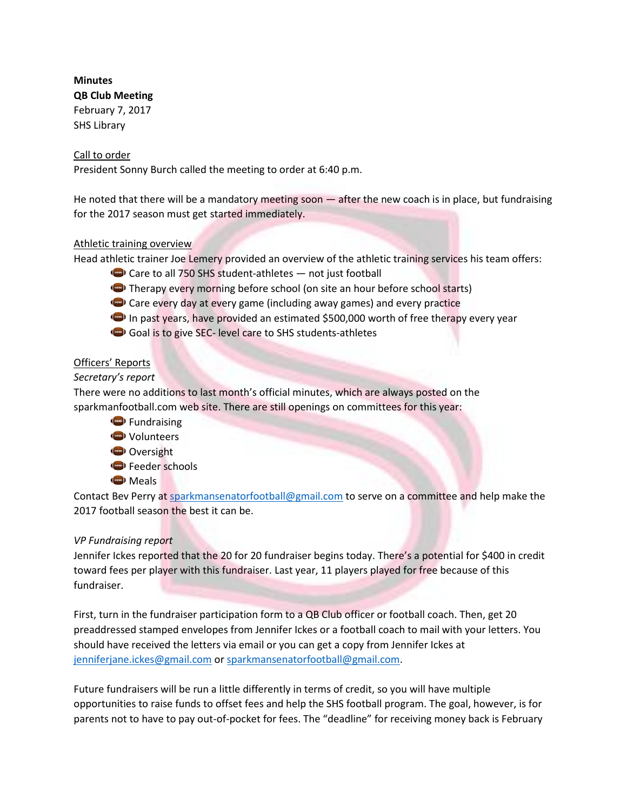# **Minutes**

**QB Club Meeting** February 7, 2017 SHS Library

## Call to order

President Sonny Burch called the meeting to order at 6:40 p.m.

He noted that there will be a mandatory meeting soon — after the new coach is in place, but fundraising for the 2017 season must get started immediately.

## Athletic training overview

Head athletic trainer Joe Lemery provided an overview of the athletic training services his team offers:

- $\bigodot$  Care to all 750 SHS student-athletes  $-$  not just football
- Therapy every morning before school (on site an hour before school starts)
- Co Care every day at every game (including away games) and every practice
- In past years, have provided an estimated \$500,000 worth of free therapy every year
- Goal is to give SEC- level care to SHS students-athletes

## Officers' Reports

## *Secretary's report*

There were no additions to last month's official minutes, which are always posted on the sparkmanfootball.com web site. There are still openings on committees for this year:

Fundraising **◆** Volunteers Oversight **Feeder schools Meals** 

Contact Bev Perry at [sparkmansenatorfootball@gmail.com](mailto:sparkmansenatorfootball@gmail.com) to serve on a committee and help make the 2017 football season the best it can be.

## *VP Fundraising report*

Jennifer Ickes reported that the 20 for 20 fundraiser begins today. There's a potential for \$400 in credit toward fees per player with this fundraiser. Last year, 11 players played for free because of this fundraiser.

First, turn in the fundraiser participation form to a QB Club officer or football coach. Then, get 20 preaddressed stamped envelopes from Jennifer Ickes or a football coach to mail with your letters. You should have received the letters via email or you can get a copy from Jennifer Ickes at [jenniferjane.ickes@gmail.com](mailto:jenniferjane.ickes@gmail.com)) or sparkmansenatorfootball@gmail.com.

Future fundraisers will be run a little differently in terms of credit, so you will have multiple opportunities to raise funds to offset fees and help the SHS football program. The goal, however, is for parents not to have to pay out-of-pocket for fees. The "deadline" for receiving money back is February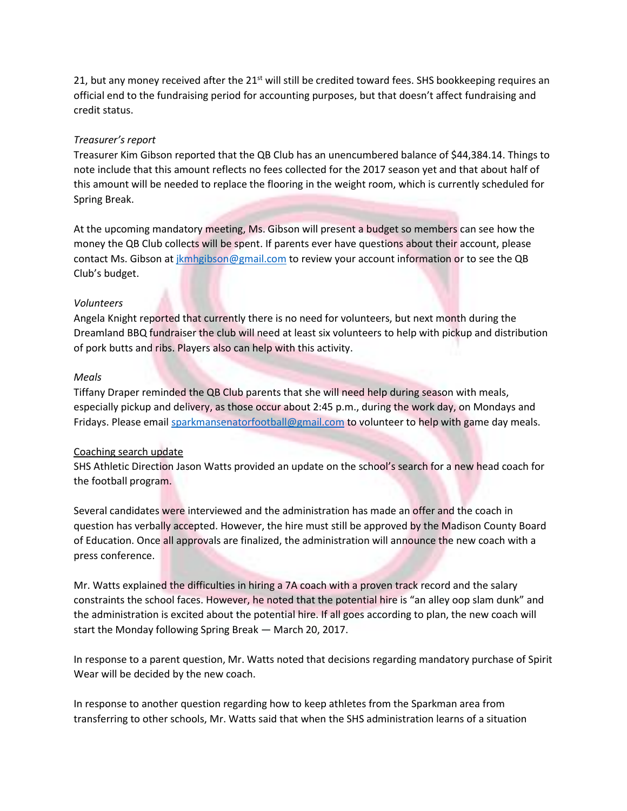21, but any money received after the  $21<sup>st</sup>$  will still be credited toward fees. SHS bookkeeping requires an official end to the fundraising period for accounting purposes, but that doesn't affect fundraising and credit status.

#### *Treasurer's report*

Treasurer Kim Gibson reported that the QB Club has an unencumbered balance of \$44,384.14. Things to note include that this amount reflects no fees collected for the 2017 season yet and that about half of this amount will be needed to replace the flooring in the weight room, which is currently scheduled for Spring Break.

At the upcoming mandatory meeting, Ms. Gibson will present a budget so members can see how the money the QB Club collects will be spent. If parents ever have questions about their account, please contact Ms. Gibson at *jkmhgibson@gmail.com* to review your account information or to see the QB Club's budget.

#### *Volunteers*

Angela Knight reported that currently there is no need for volunteers, but next month during the Dreamland BBQ fundraiser the club will need at least six volunteers to help with pickup and distribution of pork butts and ribs. Players also can help with this activity.

#### *Meals*

Tiffany Draper reminded the QB Club parents that she will need help during season with meals, especially pickup and delivery, as those occur about 2:45 p.m., during the work day, on Mondays and Fridays. Please email [sparkmansenatorfootball@gmail.com](mailto:sparkmansenatorfootball@gmail.com) to volunteer to help with game day meals.

#### Coaching search update

SHS Athletic Direction Jason Watts provided an update on the school's search for a new head coach for the football program.

Several candidates were interviewed and the administration has made an offer and the coach in question has verbally accepted. However, the hire must still be approved by the Madison County Board of Education. Once all approvals are finalized, the administration will announce the new coach with a press conference.

Mr. Watts explained the difficulties in hiring a 7A coach with a proven track record and the salary constraints the school faces. However, he noted that the potential hire is "an alley oop slam dunk" and the administration is excited about the potential hire. If all goes according to plan, the new coach will start the Monday following Spring Break — March 20, 2017.

In response to a parent question, Mr. Watts noted that decisions regarding mandatory purchase of Spirit Wear will be decided by the new coach.

In response to another question regarding how to keep athletes from the Sparkman area from transferring to other schools, Mr. Watts said that when the SHS administration learns of a situation